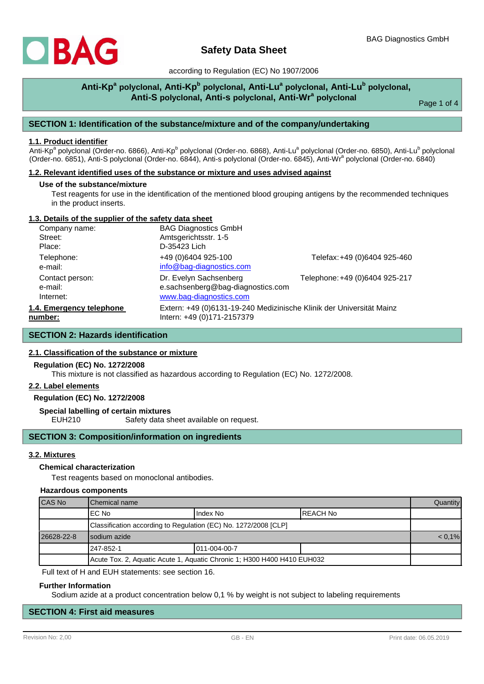

# **Safety Data Sheet**

according to Regulation (EC) No 1907/2006

## **Anti-Kp<sup>a</sup> polyclonal, Anti-Kp<sup>b</sup> polyclonal, Anti-Lu<sup>a</sup> polyclonal, Anti-Lu<sup>b</sup> polyclonal, Anti-S polyclonal, Anti-s polyclonal, Anti-Wr<sup>a</sup> polyclonal**

Page 1 of 4

## **SECTION 1: Identification of the substance/mixture and of the company/undertaking**

#### **1.1. Product identifier**

Anti-Kp<sup>a</sup> polyclonal (Order-no. 6866), Anti-Kp<sup>b</sup> polyclonal (Order-no. 6868), Anti-Lu<sup>a</sup> polyclonal (Order-no. 6850), Anti-Lu<sup>b</sup> polyclonal (Order-no. 6851), Anti-S polyclonal (Order-no. 6844), Anti-s polyclonal (Order-no. 6845), Anti-Wr<sup>a</sup> polyclonal (Order-no. 6840)

### **1.2. Relevant identified uses of the substance or mixture and uses advised against**

#### **Use of the substance/mixture**

Test reagents for use in the identification of the mentioned blood grouping antigens by the recommended techniques in the product inserts.

#### **1.3. Details of the supplier of the safety data sheet**

| Company name:            | <b>BAG Diagnostics GmbH</b>                                          |                                |
|--------------------------|----------------------------------------------------------------------|--------------------------------|
| Street:                  | Amtsgerichtsstr. 1-5                                                 |                                |
| Place:                   | D-35423 Lich                                                         |                                |
| Telephone:               | +49 (0)6404 925-100                                                  | Telefax: +49 (0)6404 925-460   |
| e-mail:                  | info@bag-diagnostics.com                                             |                                |
| Contact person:          | Dr. Evelyn Sachsenberg                                               | Telephone: +49 (0)6404 925-217 |
| e-mail:                  | e.sachsenberg@bag-diagnostics.com                                    |                                |
| Internet:                | www.bag-diagnostics.com                                              |                                |
| 1.4. Emergency telephone | Extern: +49 (0)6131-19-240 Medizinische Klinik der Universität Mainz |                                |
| number:                  | Intern: +49 (0)171-2157379                                           |                                |

## **SECTION 2: Hazards identification**

## **2.1. Classification of the substance or mixture**

#### **Regulation (EC) No. 1272/2008**

This mixture is not classified as hazardous according to Regulation (EC) No. 1272/2008.

#### **2.2. Label elements**

## **Regulation (EC) No. 1272/2008**

**Special labelling of certain mixtures**

EUH210 Safety data sheet available on request.

## **SECTION 3: Composition/information on ingredients**

## **3.2. Mixtures**

## **Chemical characterization**

Test reagents based on monoclonal antibodies.

#### **Hazardous components**

| CAS No                                                                  | <b>I</b> Chemical name                                          |              |           | <b>Quantity</b> |
|-------------------------------------------------------------------------|-----------------------------------------------------------------|--------------|-----------|-----------------|
|                                                                         | IEC No                                                          | Index No     | IREACH No |                 |
|                                                                         | Classification according to Regulation (EC) No. 1272/2008 [CLP] |              |           |                 |
| 26628-22-8                                                              | I sodium azide                                                  |              |           | $< 0.1\%$       |
|                                                                         | l 247-852-1                                                     | 011-004-00-7 |           |                 |
| Acute Tox. 2, Aquatic Acute 1, Aquatic Chronic 1; H300 H400 H410 EUH032 |                                                                 |              |           |                 |

Full text of H and EUH statements: see section 16.

#### **Further Information**

Sodium azide at a product concentration below 0,1 % by weight is not subject to labeling requirements

## **SECTION 4: First aid measures**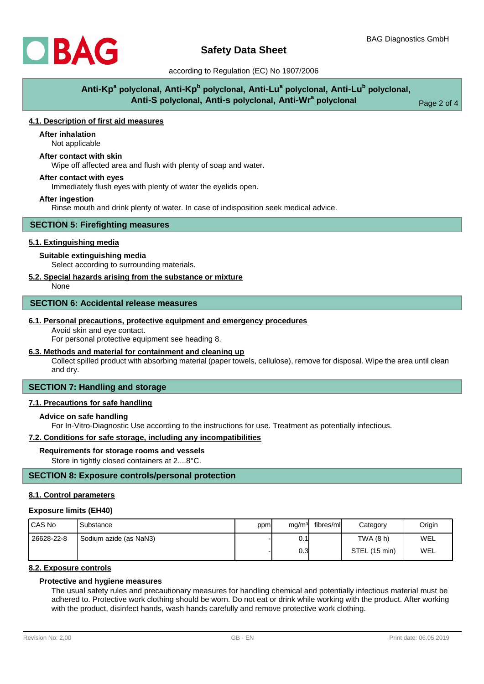

## according to Regulation (EC) No 1907/2006

# **Anti-Kp<sup>a</sup> polyclonal, Anti-Kp<sup>b</sup> polyclonal, Anti-Lu<sup>a</sup> polyclonal, Anti-Lu<sup>b</sup> polyclonal, Anti-S polyclonal, Anti-s polyclonal, Anti-Wr<sup>a</sup> polyclonal**

Page 2 of 4

## **4.1. Description of first aid measures**

# **After inhalation**

Not applicable

## **After contact with skin**

Wipe off affected area and flush with plenty of soap and water.

#### **After contact with eyes**

Immediately flush eyes with plenty of water the eyelids open.

#### **After ingestion**

Rinse mouth and drink plenty of water. In case of indisposition seek medical advice.

#### **SECTION 5: Firefighting measures**

### **5.1. Extinguishing media**

## **Suitable extinguishing media**

Select according to surrounding materials.

## **5.2. Special hazards arising from the substance or mixture**

None

#### **SECTION 6: Accidental release measures**

#### **6.1. Personal precautions, protective equipment and emergency procedures**

Avoid skin and eye contact.

For personal protective equipment see heading 8.

## **6.3. Methods and material for containment and cleaning up**

Collect spilled product with absorbing material (paper towels, cellulose), remove for disposal. Wipe the area until clean and dry.

## **SECTION 7: Handling and storage**

## **7.1. Precautions for safe handling**

### **Advice on safe handling**

For In-Vitro-Diagnostic Use according to the instructions for use. Treatment as potentially infectious.

### **7.2. Conditions for safe storage, including any incompatibilities**

#### **Requirements for storage rooms and vessels**

Store in tightly closed containers at 2....8°C.

## **SECTION 8: Exposure controls/personal protection**

#### **8.1. Control parameters**

#### **Exposure limits (EH40)**

| I CAS No   | Substance              | ppm | mg/m <sup>3</sup> | fibres/ml | Category      | Origin |
|------------|------------------------|-----|-------------------|-----------|---------------|--------|
| 26628-22-8 | Sodium azide (as NaN3) |     | 0.1               |           | TWA (8 h)     | WEL    |
|            |                        |     | 0.3 <sub>l</sub>  |           | STEL (15 min) | WEL    |

## **8.2. Exposure controls**

## **Protective and hygiene measures**

The usual safety rules and precautionary measures for handling chemical and potentially infectious material must be adhered to. Protective work clothing should be worn. Do not eat or drink while working with the product. After working with the product, disinfect hands, wash hands carefully and remove protective work clothing.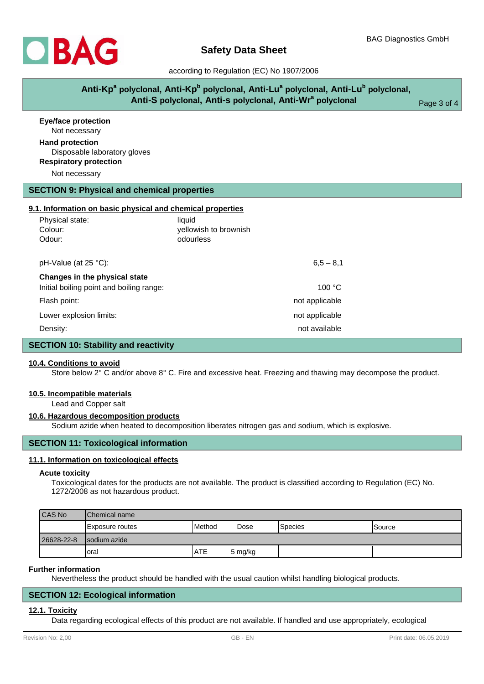

## according to Regulation (EC) No 1907/2006

| Anti-Kp <sup>a</sup> polyclonal, Anti-Kp <sup>b</sup> polyclonal, Anti-Lu <sup>a</sup> polyclonal, Anti-Lu <sup>b</sup> polyclonal, |             |
|-------------------------------------------------------------------------------------------------------------------------------------|-------------|
| Anti-S polyclonal, Anti-s polyclonal, Anti-Wr <sup>a</sup> polyclonal                                                               | Page 3 of 4 |

| <b>Eye/face protection</b><br>Not necessary                |                       |  |
|------------------------------------------------------------|-----------------------|--|
| <b>Hand protection</b><br>Disposable laboratory gloves     |                       |  |
| <b>Respiratory protection</b>                              |                       |  |
| Not necessary                                              |                       |  |
| <b>SECTION 9: Physical and chemical properties</b>         |                       |  |
| 9.1. Information on basic physical and chemical properties |                       |  |
| Physical state:                                            | liquid                |  |
| Colour:                                                    | yellowish to brownish |  |
| Odour:                                                     | odourless             |  |
| pH-Value (at 25 °C):                                       | $6,5 - 8,1$           |  |
| Changes in the physical state                              |                       |  |
| Initial boiling point and boiling range:                   | 100 °C                |  |
| Flash point:                                               | not applicable        |  |
| Lower explosion limits:                                    | not applicable        |  |
| Density:                                                   | not available         |  |

## **SECTION 10: Stability and reactivity**

## **10.4. Conditions to avoid**

Store below 2° C and/or above 8° C. Fire and excessive heat. Freezing and thawing may decompose the product.

#### **10.5. Incompatible materials**

Lead and Copper salt

#### **10.6. Hazardous decomposition products**

Sodium azide when heated to decomposition liberates nitrogen gas and sodium, which is explosive.

## **SECTION 11: Toxicological information**

#### **11.1. Information on toxicological effects**

#### **Acute toxicity**

Toxicological dates for the products are not available. The product is classified according to Regulation (EC) No. 1272/2008 as not hazardous product.

| CAS No     | <b>IChemical name</b> |                |         |                 |                |
|------------|-----------------------|----------------|---------|-----------------|----------------|
|            | Exposure routes       | <b>IMethod</b> | Dose    | <b>S</b> pecies | <b>ISource</b> |
| 26628-22-8 | Isodium azide         |                |         |                 |                |
|            | Ioral                 | <b>ATE</b>     | 5 mg/kg |                 |                |

#### **Further information**

Nevertheless the product should be handled with the usual caution whilst handling biological products.

## **SECTION 12: Ecological information**

#### **12.1. Toxicity**

Data regarding ecological effects of this product are not available. If handled and use appropriately, ecological